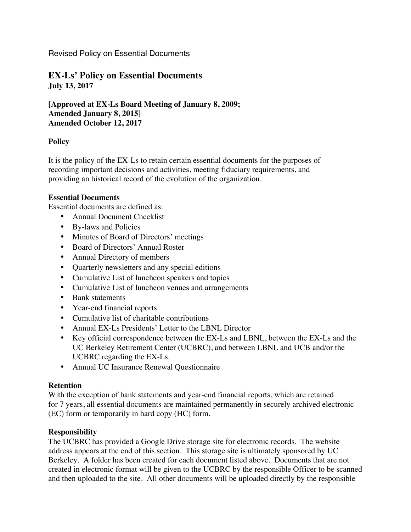Revised Policy on Essential Documents

**EX-Ls' Policy on Essential Documents July 13, 2017**

**[Approved at EX-Ls Board Meeting of January 8, 2009; Amended January 8, 2015] Amended October 12, 2017**

# **Policy**

It is the policy of the EX-Ls to retain certain essential documents for the purposes of recording important decisions and activities, meeting fiduciary requirements, and providing an historical record of the evolution of the organization.

# **Essential Documents**

Essential documents are defined as:

- Annual Document Checklist
- By-laws and Policies
- Minutes of Board of Directors' meetings
- Board of Directors' Annual Roster
- Annual Directory of members
- Quarterly newsletters and any special editions
- Cumulative List of luncheon speakers and topics
- Cumulative List of luncheon venues and arrangements
- Bank statements
- Year-end financial reports
- Cumulative list of charitable contributions
- Annual EX-Ls Presidents' Letter to the LBNL Director
- Key official correspondence between the EX-Ls and LBNL, between the EX-Ls and the UC Berkeley Retirement Center (UCBRC), and between LBNL and UCB and/or the UCBRC regarding the EX-Ls.
- Annual UC Insurance Renewal Questionnaire

# **Retention**

With the exception of bank statements and year-end financial reports, which are retained for 7 years, all essential documents are maintained permanently in securely archived electronic (EC) form or temporarily in hard copy (HC) form.

# **Responsibility**

The UCBRC has provided a Google Drive storage site for electronic records. The website address appears at the end of this section. This storage site is ultimately sponsored by UC Berkeley. A folder has been created for each document listed above. Documents that are not created in electronic format will be given to the UCBRC by the responsible Officer to be scanned and then uploaded to the site. All other documents will be uploaded directly by the responsible